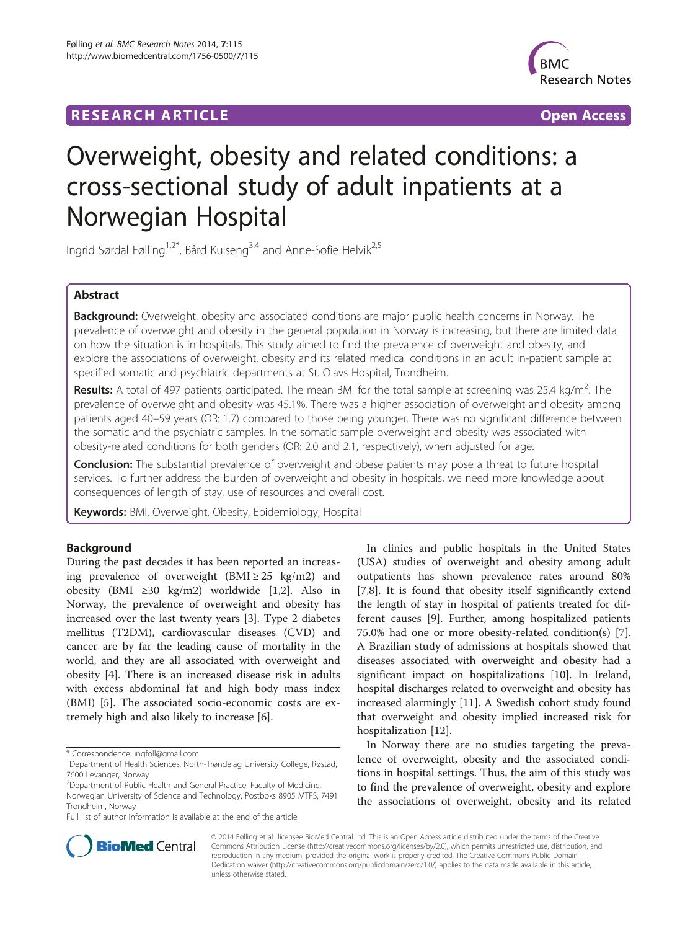# **RESEARCH ARTICLE Example 2018 12:00 Department 2018 12:00 Department 2018 12:00 Department 2018 12:00 Department 2018 12:00 Department 2018 12:00 Department 2018 12:00 Department 2018 12:00 Department 2018 12:00 Departm**



# Overweight, obesity and related conditions: a cross-sectional study of adult inpatients at a Norwegian Hospital

Ingrid Sørdal Følling<sup>1,2\*</sup>, Bård Kulseng<sup>3,4</sup> and Anne-Sofie Helvik<sup>2,5</sup>

# Abstract

Background: Overweight, obesity and associated conditions are major public health concerns in Norway. The prevalence of overweight and obesity in the general population in Norway is increasing, but there are limited data on how the situation is in hospitals. This study aimed to find the prevalence of overweight and obesity, and explore the associations of overweight, obesity and its related medical conditions in an adult in-patient sample at specified somatic and psychiatric departments at St. Olavs Hospital, Trondheim.

Results: A total of 497 patients participated. The mean BMI for the total sample at screening was 25.4 kg/m<sup>2</sup>. The prevalence of overweight and obesity was 45.1%. There was a higher association of overweight and obesity among patients aged 40–59 years (OR: 1.7) compared to those being younger. There was no significant difference between the somatic and the psychiatric samples. In the somatic sample overweight and obesity was associated with obesity-related conditions for both genders (OR: 2.0 and 2.1, respectively), when adjusted for age.

**Conclusion:** The substantial prevalence of overweight and obese patients may pose a threat to future hospital services. To further address the burden of overweight and obesity in hospitals, we need more knowledge about consequences of length of stay, use of resources and overall cost.

Keywords: BMI, Overweight, Obesity, Epidemiology, Hospital

# Background

During the past decades it has been reported an increasing prevalence of overweight (BMI  $\geq$  25 kg/m2) and obesity (BMI ≥30 kg/m2) worldwide [[1](#page-5-0),[2\]](#page-5-0). Also in Norway, the prevalence of overweight and obesity has increased over the last twenty years [[3](#page-5-0)]. Type 2 diabetes mellitus (T2DM), cardiovascular diseases (CVD) and cancer are by far the leading cause of mortality in the world, and they are all associated with overweight and obesity [[4](#page-5-0)]. There is an increased disease risk in adults with excess abdominal fat and high body mass index (BMI) [\[5](#page-5-0)]. The associated socio-economic costs are extremely high and also likely to increase [[6\]](#page-5-0).

In clinics and public hospitals in the United States (USA) studies of overweight and obesity among adult outpatients has shown prevalence rates around 80% [[7,8\]](#page-5-0). It is found that obesity itself significantly extend the length of stay in hospital of patients treated for different causes [[9\]](#page-5-0). Further, among hospitalized patients 75.0% had one or more obesity-related condition(s) [\[7](#page-5-0)]. A Brazilian study of admissions at hospitals showed that diseases associated with overweight and obesity had a significant impact on hospitalizations [[10\]](#page-5-0). In Ireland, hospital discharges related to overweight and obesity has increased alarmingly [\[11\]](#page-5-0). A Swedish cohort study found that overweight and obesity implied increased risk for hospitalization [[12](#page-5-0)].

In Norway there are no studies targeting the prevalence of overweight, obesity and the associated conditions in hospital settings. Thus, the aim of this study was to find the prevalence of overweight, obesity and explore the associations of overweight, obesity and its related



© 2014 Følling et al.; licensee BioMed Central Ltd. This is an Open Access article distributed under the terms of the Creative Commons Attribution License [\(http://creativecommons.org/licenses/by/2.0\)](http://creativecommons.org/licenses/by/2.0), which permits unrestricted use, distribution, and reproduction in any medium, provided the original work is properly credited. The Creative Commons Public Domain Dedication waiver [\(http://creativecommons.org/publicdomain/zero/1.0/](http://creativecommons.org/publicdomain/zero/1.0/)) applies to the data made available in this article, unless otherwise stated.

<sup>\*</sup> Correspondence: [ingfoll@gmail.com](mailto:ingfoll@gmail.com) <sup>1</sup>

Department of Health Sciences, North-Trøndelag University College, Røstad, 7600 Levanger, Norway

<sup>&</sup>lt;sup>2</sup> Department of Public Health and General Practice, Faculty of Medicine, Norwegian University of Science and Technology, Postboks 8905 MTFS, 7491 Trondheim, Norway

Full list of author information is available at the end of the article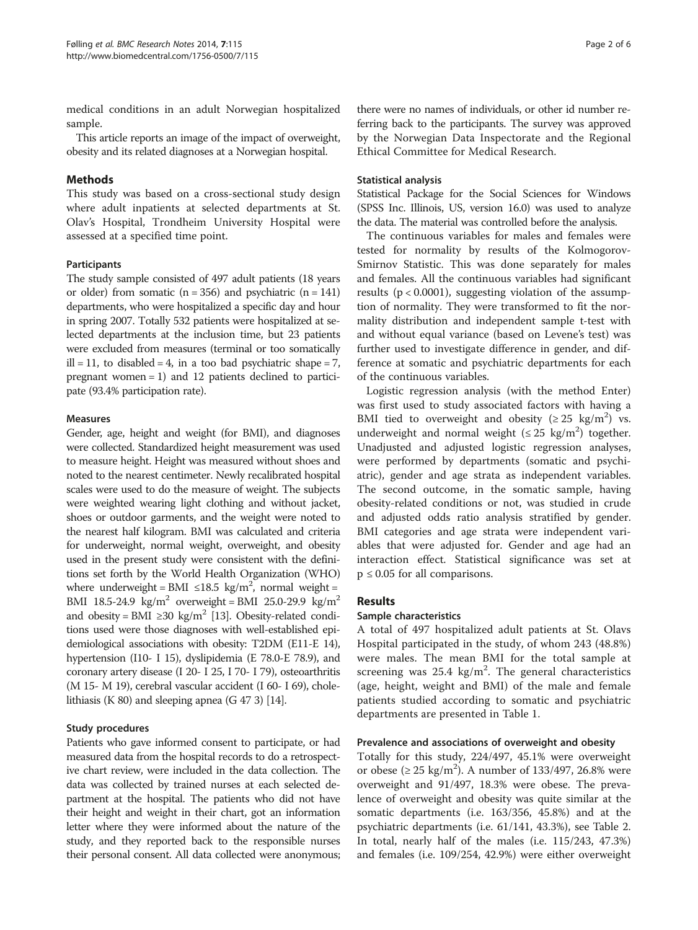medical conditions in an adult Norwegian hospitalized sample.

This article reports an image of the impact of overweight, obesity and its related diagnoses at a Norwegian hospital.

### Methods

This study was based on a cross-sectional study design where adult inpatients at selected departments at St. Olav's Hospital, Trondheim University Hospital were assessed at a specified time point.

#### Participants

The study sample consisted of 497 adult patients (18 years or older) from somatic  $(n = 356)$  and psychiatric  $(n = 141)$ departments, who were hospitalized a specific day and hour in spring 2007. Totally 532 patients were hospitalized at selected departments at the inclusion time, but 23 patients were excluded from measures (terminal or too somatically ill = 11, to disabled = 4, in a too bad psychiatric shape = 7, pregnant women = 1) and 12 patients declined to participate (93.4% participation rate).

#### Measures

Gender, age, height and weight (for BMI), and diagnoses were collected. Standardized height measurement was used to measure height. Height was measured without shoes and noted to the nearest centimeter. Newly recalibrated hospital scales were used to do the measure of weight. The subjects were weighted wearing light clothing and without jacket, shoes or outdoor garments, and the weight were noted to the nearest half kilogram. BMI was calculated and criteria for underweight, normal weight, overweight, and obesity used in the present study were consistent with the definitions set forth by the World Health Organization (WHO) where underweight = BMI  $\leq 18.5$  kg/m<sup>2</sup>, normal weight = BMI 18.5-24.9 kg/m<sup>2</sup> overweight = BMI 25.0-29.9 kg/m<sup>2</sup> and obesity = BMI ≥30 kg/m<sup>2</sup> [\[13\]](#page-5-0). Obesity-related conditions used were those diagnoses with well-established epidemiological associations with obesity: T2DM (E11-E 14), hypertension (I10- I 15), dyslipidemia (E 78.0-E 78.9), and coronary artery disease (I 20- I 25, I 70- I 79), osteoarthritis (M 15- M 19), cerebral vascular accident (I 60- I 69), chole-lithiasis (K 80) and sleeping apnea (G 47 3) [\[14\]](#page-5-0).

# Study procedures

Patients who gave informed consent to participate, or had measured data from the hospital records to do a retrospective chart review, were included in the data collection. The data was collected by trained nurses at each selected department at the hospital. The patients who did not have their height and weight in their chart, got an information letter where they were informed about the nature of the study, and they reported back to the responsible nurses their personal consent. All data collected were anonymous;

there were no names of individuals, or other id number referring back to the participants. The survey was approved by the Norwegian Data Inspectorate and the Regional Ethical Committee for Medical Research.

#### Statistical analysis

Statistical Package for the Social Sciences for Windows (SPSS Inc. Illinois, US, version 16.0) was used to analyze the data. The material was controlled before the analysis.

The continuous variables for males and females were tested for normality by results of the Kolmogorov-Smirnov Statistic. This was done separately for males and females. All the continuous variables had significant results ( $p < 0.0001$ ), suggesting violation of the assumption of normality. They were transformed to fit the normality distribution and independent sample t-test with and without equal variance (based on Levene's test) was further used to investigate difference in gender, and difference at somatic and psychiatric departments for each of the continuous variables.

Logistic regression analysis (with the method Enter) was first used to study associated factors with having a BMI tied to overweight and obesity ( $\geq 25$  kg/m<sup>2</sup>) vs. underweight and normal weight  $(\leq 25 \text{ kg/m}^2)$  together. Unadjusted and adjusted logistic regression analyses, were performed by departments (somatic and psychiatric), gender and age strata as independent variables. The second outcome, in the somatic sample, having obesity-related conditions or not, was studied in crude and adjusted odds ratio analysis stratified by gender. BMI categories and age strata were independent variables that were adjusted for. Gender and age had an interaction effect. Statistical significance was set at  $p \leq 0.05$  for all comparisons.

# Results

# Sample characteristics

A total of 497 hospitalized adult patients at St. Olavs Hospital participated in the study, of whom 243 (48.8%) were males. The mean BMI for the total sample at screening was  $25.4 \text{ kg/m}^2$ . The general characteristics (age, height, weight and BMI) of the male and female patients studied according to somatic and psychiatric departments are presented in Table [1.](#page-2-0)

#### Prevalence and associations of overweight and obesity

Totally for this study, 224/497, 45.1% were overweight or obese ( $\geq 25 \text{ kg/m}^2$ ). A number of 133/497, 26.8% were overweight and 91/497, 18.3% were obese. The prevalence of overweight and obesity was quite similar at the somatic departments (i.e. 163/356, 45.8%) and at the psychiatric departments (i.e. 61/141, 43.3%), see Table [2](#page-2-0). In total, nearly half of the males (i.e. 115/243, 47.3%) and females (i.e. 109/254, 42.9%) were either overweight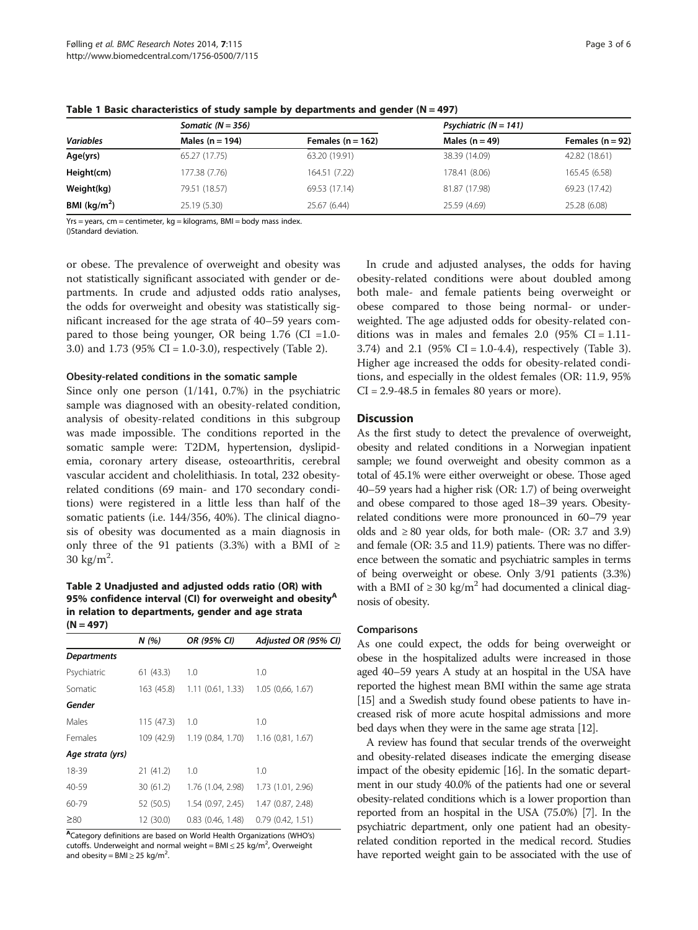| <b>Variables</b> | Somatic ( $N = 356$ ) |                     | Psychiatric ( $N = 141$ ) |                    |
|------------------|-----------------------|---------------------|---------------------------|--------------------|
|                  | Males $(n = 194)$     | Females $(n = 162)$ | Males $(n = 49)$          | Females $(n = 92)$ |
| Age(yrs)         | 65.27 (17.75)         | 63.20 (19.91)       | 38.39 (14.09)             | 42.82 (18.61)      |
| Height(cm)       | 177.38 (7.76)         | 164.51 (7.22)       | 178.41 (8.06)             | 165.45 (6.58)      |
| Weight(kg)       | 79.51 (18.57)         | 69.53 (17.14)       | 81.87 (17.98)             | 69.23 (17.42)      |
| BMI $(kq/m^2)$   | 25.19 (5.30)          | 25.67 (6.44)        | 25.59 (4.69)              | 25.28 (6.08)       |

<span id="page-2-0"></span>Table 1 Basic characteristics of study sample by departments and gender ( $N = 497$ )

 $Yrs = years$ ,  $cm = centimeter$ ,  $kq = kilograms$ ,  $BMI = body$  mass index.

()Standard deviation.

or obese. The prevalence of overweight and obesity was not statistically significant associated with gender or departments. In crude and adjusted odds ratio analyses, the odds for overweight and obesity was statistically significant increased for the age strata of 40–59 years compared to those being younger, OR being  $1.76$  (CI = 1.0-3.0) and 1.73 (95% CI = 1.0-3.0), respectively (Table 2).

#### Obesity-related conditions in the somatic sample

Since only one person (1/141, 0.7%) in the psychiatric sample was diagnosed with an obesity-related condition, analysis of obesity-related conditions in this subgroup was made impossible. The conditions reported in the somatic sample were: T2DM, hypertension, dyslipidemia, coronary artery disease, osteoarthritis, cerebral vascular accident and cholelithiasis. In total, 232 obesityrelated conditions (69 main- and 170 secondary conditions) were registered in a little less than half of the somatic patients (i.e. 144/356, 40%). The clinical diagnosis of obesity was documented as a main diagnosis in only three of the 91 patients (3.3%) with a BMI of  $\ge$  $30 \text{ kg/m}^2$ .

### Table 2 Unadjusted and adjusted odds ratio (OR) with 95% confidence interval (CI) for overweight and obesity<sup>A</sup> in relation to departments, gender and age strata  $(N = 497)$

|                  | N(%)       | OR (95% CI)           | Adjusted OR (95% CI) |
|------------------|------------|-----------------------|----------------------|
| Departments      |            |                       |                      |
| Psychiatric      | 61(43.3)   | 1.0                   | 1.0                  |
| Somatic          | 163 (45.8) | 1.11(0.61, 1.33)      | 1.05(0.66, 1.67)     |
| Gender           |            |                       |                      |
| Males            | 115(47.3)  | 1.0                   | 1.0                  |
| Females          | 109 (42.9) | 1.19 (0.84, 1.70)     | 1.16(0.81, 1.67)     |
| Age strata (yrs) |            |                       |                      |
| 18-39            | 21(41.2)   | 1.0                   | 1.0                  |
| 40-59            | 30 (61.2)  | 1.76 (1.04, 2.98)     | 1.73 (1.01, 2.96)    |
| 60-79            | 52 (50.5)  | 1.54(0.97, 2.45)      | 1.47 (0.87, 2.48)    |
| $\geq 80$        | 12 (30.0)  | $0.83$ $(0.46, 1.48)$ | 0.79(0.42, 1.51)     |

ACategory definitions are based on World Health Organizations (WHO's) cutoffs. Underweight and normal weight = BMI  $\leq$  25 kg/m<sup>2</sup>, Overweight and obesity =  $BMI \geq 25$  kg/m<sup>2</sup>. .

In crude and adjusted analyses, the odds for having obesity-related conditions were about doubled among both male- and female patients being overweight or obese compared to those being normal- or underweighted. The age adjusted odds for obesity-related conditions was in males and females 2.0 (95%  $CI = 1.11$ -3.74) and 2.1 (95% CI = 1.0-4.4), respectively (Table [3](#page-3-0)). Higher age increased the odds for obesity-related conditions, and especially in the oldest females (OR: 11.9, 95%  $CI = 2.9 - 48.5$  in females 80 years or more).

#### **Discussion**

As the first study to detect the prevalence of overweight, obesity and related conditions in a Norwegian inpatient sample; we found overweight and obesity common as a total of 45.1% were either overweight or obese. Those aged 40–59 years had a higher risk (OR: 1.7) of being overweight and obese compared to those aged 18–39 years. Obesityrelated conditions were more pronounced in 60–79 year olds and  $\geq 80$  year olds, for both male- (OR: 3.7 and 3.9) and female (OR: 3.5 and 11.9) patients. There was no difference between the somatic and psychiatric samples in terms of being overweight or obese. Only 3/91 patients (3.3%) with a BMI of  $\geq$  30 kg/m<sup>2</sup> had documented a clinical diagnosis of obesity.

#### Comparisons

As one could expect, the odds for being overweight or obese in the hospitalized adults were increased in those aged 40–59 years A study at an hospital in the USA have reported the highest mean BMI within the same age strata [[15](#page-5-0)] and a Swedish study found obese patients to have increased risk of more acute hospital admissions and more bed days when they were in the same age strata [\[12](#page-5-0)].

A review has found that secular trends of the overweight and obesity-related diseases indicate the emerging disease impact of the obesity epidemic [[16](#page-5-0)]. In the somatic department in our study 40.0% of the patients had one or several obesity-related conditions which is a lower proportion than reported from an hospital in the USA (75.0%) [\[7\]](#page-5-0). In the psychiatric department, only one patient had an obesityrelated condition reported in the medical record. Studies have reported weight gain to be associated with the use of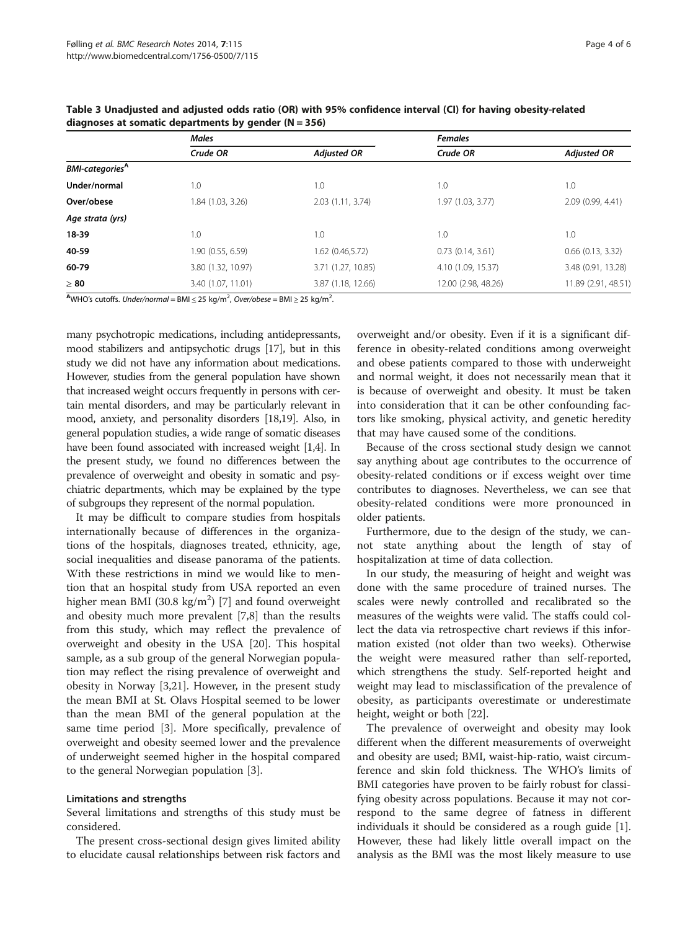|                                    | <b>Males</b>       |                    | <b>Females</b>      |                       |
|------------------------------------|--------------------|--------------------|---------------------|-----------------------|
|                                    | Crude OR           | <b>Adjusted OR</b> | Crude OR            | <b>Adjusted OR</b>    |
| <b>BMI-categories</b> <sup>A</sup> |                    |                    |                     |                       |
| Under/normal                       | 1.0                | 1.0                | 1.0                 | 1.0                   |
| Over/obese                         | 1.84 (1.03, 3.26)  | 2.03(1.11, 3.74)   | 1.97(1.03, 3.77)    | 2.09(0.99, 4.41)      |
| Age strata (yrs)                   |                    |                    |                     |                       |
| 18-39                              | 1.0                | 1.0                | 1.0                 | 1.0                   |
| 40-59                              | 1.90 (0.55, 6.59)  | 1.62 (0.46,5.72)   | 0.73(0.14, 3.61)    | $0.66$ $(0.13, 3.32)$ |
| 60-79                              | 3.80 (1.32, 10.97) | 3.71 (1.27, 10.85) | 4.10 (1.09, 15.37)  | 3.48 (0.91, 13.28)    |
| $\geq 80$                          | 3.40 (1.07, 11.01) | 3.87 (1.18, 12.66) | 12.00 (2.98, 48.26) | 11.89 (2.91, 48.51)   |

<span id="page-3-0"></span>Table 3 Unadjusted and adjusted odds ratio (OR) with 95% confidence interval (CI) for having obesity-related diagnoses at somatic departments by gender  $(N = 356)$ 

 $^{\mathsf{A}}$ WHO's cutoffs. Under/normal = BMI  $\leq$  25 kg/m<sup>2</sup>, Over/obese = BMI  $\geq$  25 kg/m<sup>2</sup> .

many psychotropic medications, including antidepressants, mood stabilizers and antipsychotic drugs [\[17](#page-5-0)], but in this study we did not have any information about medications. However, studies from the general population have shown that increased weight occurs frequently in persons with certain mental disorders, and may be particularly relevant in mood, anxiety, and personality disorders [[18,19\]](#page-5-0). Also, in general population studies, a wide range of somatic diseases have been found associated with increased weight [\[1,4\]](#page-5-0). In the present study, we found no differences between the prevalence of overweight and obesity in somatic and psychiatric departments, which may be explained by the type of subgroups they represent of the normal population.

It may be difficult to compare studies from hospitals internationally because of differences in the organizations of the hospitals, diagnoses treated, ethnicity, age, social inequalities and disease panorama of the patients. With these restrictions in mind we would like to mention that an hospital study from USA reported an even higher mean BMI (30.8 kg/m<sup>2</sup>) [[7\]](#page-5-0) and found overweight and obesity much more prevalent [[7,8\]](#page-5-0) than the results from this study, which may reflect the prevalence of overweight and obesity in the USA [[20\]](#page-5-0). This hospital sample, as a sub group of the general Norwegian population may reflect the rising prevalence of overweight and obesity in Norway [\[3,21](#page-5-0)]. However, in the present study the mean BMI at St. Olavs Hospital seemed to be lower than the mean BMI of the general population at the same time period [\[3](#page-5-0)]. More specifically, prevalence of overweight and obesity seemed lower and the prevalence of underweight seemed higher in the hospital compared to the general Norwegian population [[3\]](#page-5-0).

#### Limitations and strengths

Several limitations and strengths of this study must be considered.

The present cross-sectional design gives limited ability to elucidate causal relationships between risk factors and

overweight and/or obesity. Even if it is a significant difference in obesity-related conditions among overweight and obese patients compared to those with underweight and normal weight, it does not necessarily mean that it is because of overweight and obesity. It must be taken into consideration that it can be other confounding factors like smoking, physical activity, and genetic heredity that may have caused some of the conditions.

Because of the cross sectional study design we cannot say anything about age contributes to the occurrence of obesity-related conditions or if excess weight over time contributes to diagnoses. Nevertheless, we can see that obesity-related conditions were more pronounced in older patients.

Furthermore, due to the design of the study, we cannot state anything about the length of stay of hospitalization at time of data collection.

In our study, the measuring of height and weight was done with the same procedure of trained nurses. The scales were newly controlled and recalibrated so the measures of the weights were valid. The staffs could collect the data via retrospective chart reviews if this information existed (not older than two weeks). Otherwise the weight were measured rather than self-reported, which strengthens the study. Self-reported height and weight may lead to misclassification of the prevalence of obesity, as participants overestimate or underestimate height, weight or both [[22\]](#page-5-0).

The prevalence of overweight and obesity may look different when the different measurements of overweight and obesity are used; BMI, waist-hip-ratio, waist circumference and skin fold thickness. The WHO's limits of BMI categories have proven to be fairly robust for classifying obesity across populations. Because it may not correspond to the same degree of fatness in different individuals it should be considered as a rough guide [\[1](#page-5-0)]. However, these had likely little overall impact on the analysis as the BMI was the most likely measure to use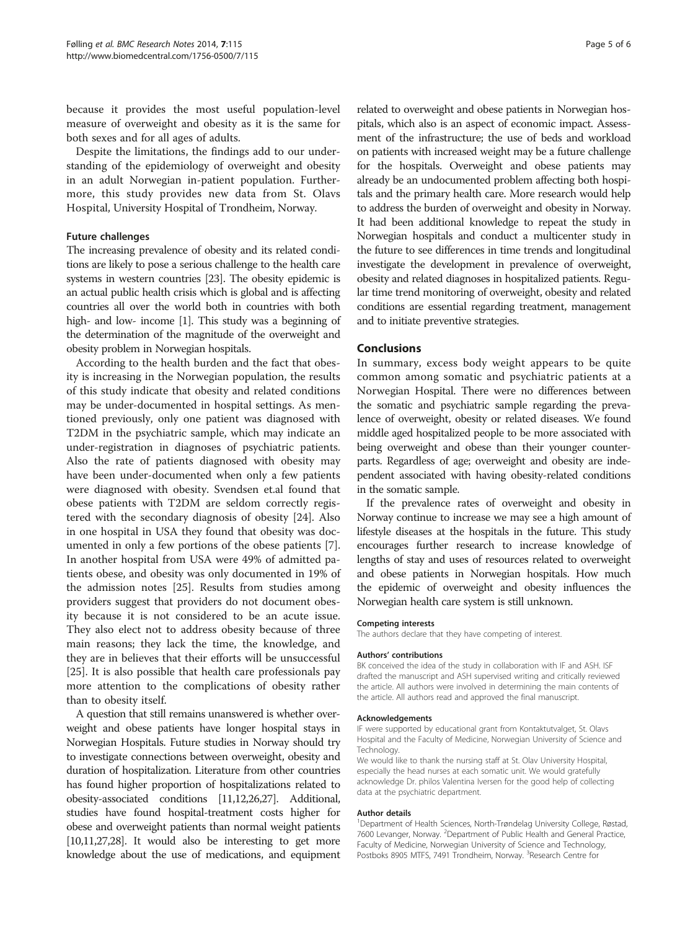because it provides the most useful population-level measure of overweight and obesity as it is the same for both sexes and for all ages of adults.

Despite the limitations, the findings add to our understanding of the epidemiology of overweight and obesity in an adult Norwegian in-patient population. Furthermore, this study provides new data from St. Olavs Hospital, University Hospital of Trondheim, Norway.

### Future challenges

The increasing prevalence of obesity and its related conditions are likely to pose a serious challenge to the health care systems in western countries [\[23](#page-5-0)]. The obesity epidemic is an actual public health crisis which is global and is affecting countries all over the world both in countries with both high- and low- income [[1](#page-5-0)]. This study was a beginning of the determination of the magnitude of the overweight and obesity problem in Norwegian hospitals.

According to the health burden and the fact that obesity is increasing in the Norwegian population, the results of this study indicate that obesity and related conditions may be under-documented in hospital settings. As mentioned previously, only one patient was diagnosed with T2DM in the psychiatric sample, which may indicate an under-registration in diagnoses of psychiatric patients. Also the rate of patients diagnosed with obesity may have been under-documented when only a few patients were diagnosed with obesity. Svendsen et.al found that obese patients with T2DM are seldom correctly registered with the secondary diagnosis of obesity [\[24\]](#page-5-0). Also in one hospital in USA they found that obesity was documented in only a few portions of the obese patients [\[7](#page-5-0)]. In another hospital from USA were 49% of admitted patients obese, and obesity was only documented in 19% of the admission notes [[25](#page-5-0)]. Results from studies among providers suggest that providers do not document obesity because it is not considered to be an acute issue. They also elect not to address obesity because of three main reasons; they lack the time, the knowledge, and they are in believes that their efforts will be unsuccessful [[25\]](#page-5-0). It is also possible that health care professionals pay more attention to the complications of obesity rather than to obesity itself.

A question that still remains unanswered is whether overweight and obese patients have longer hospital stays in Norwegian Hospitals. Future studies in Norway should try to investigate connections between overweight, obesity and duration of hospitalization. Literature from other countries has found higher proportion of hospitalizations related to obesity-associated conditions [\[11,12,26,27\]](#page-5-0). Additional, studies have found hospital-treatment costs higher for obese and overweight patients than normal weight patients [[10,11,27,28](#page-5-0)]. It would also be interesting to get more knowledge about the use of medications, and equipment

related to overweight and obese patients in Norwegian hospitals, which also is an aspect of economic impact. Assessment of the infrastructure; the use of beds and workload on patients with increased weight may be a future challenge for the hospitals. Overweight and obese patients may already be an undocumented problem affecting both hospitals and the primary health care. More research would help to address the burden of overweight and obesity in Norway. It had been additional knowledge to repeat the study in Norwegian hospitals and conduct a multicenter study in the future to see differences in time trends and longitudinal investigate the development in prevalence of overweight, obesity and related diagnoses in hospitalized patients. Regular time trend monitoring of overweight, obesity and related conditions are essential regarding treatment, management and to initiate preventive strategies.

#### Conclusions

In summary, excess body weight appears to be quite common among somatic and psychiatric patients at a Norwegian Hospital. There were no differences between the somatic and psychiatric sample regarding the prevalence of overweight, obesity or related diseases. We found middle aged hospitalized people to be more associated with being overweight and obese than their younger counterparts. Regardless of age; overweight and obesity are independent associated with having obesity-related conditions in the somatic sample.

If the prevalence rates of overweight and obesity in Norway continue to increase we may see a high amount of lifestyle diseases at the hospitals in the future. This study encourages further research to increase knowledge of lengths of stay and uses of resources related to overweight and obese patients in Norwegian hospitals. How much the epidemic of overweight and obesity influences the Norwegian health care system is still unknown.

#### Competing interests

The authors declare that they have competing of interest.

#### Authors' contributions

BK conceived the idea of the study in collaboration with IF and ASH. ISF drafted the manuscript and ASH supervised writing and critically reviewed the article. All authors were involved in determining the main contents of the article. All authors read and approved the final manuscript.

#### Acknowledgements

IF were supported by educational grant from Kontaktutvalget, St. Olavs Hospital and the Faculty of Medicine, Norwegian University of Science and **Technology** 

We would like to thank the nursing staff at St. Olav University Hospital, especially the head nurses at each somatic unit. We would gratefully acknowledge Dr. philos Valentina Iversen for the good help of collecting data at the psychiatric department.

#### Author details

1 Department of Health Sciences, North-Trøndelag University College, Røstad, 7600 Levanger, Norway. <sup>2</sup>Department of Public Health and General Practice, Faculty of Medicine, Norwegian University of Science and Technology, Postboks 8905 MTFS, 7491 Trondheim, Norway. <sup>3</sup>Research Centre for